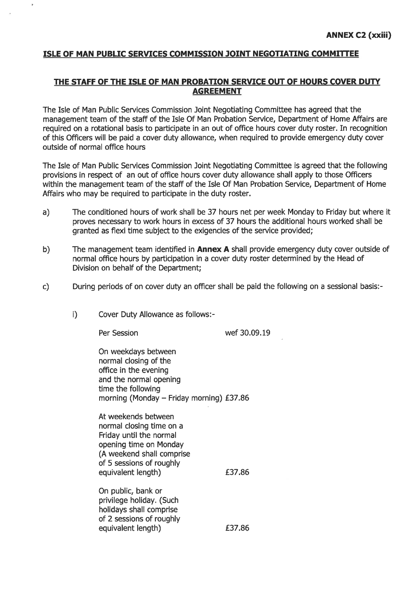#### ISLE OF MAN PUBLIC SERVICES COMMISSION JOINT NEGOTIATING COMMITTEE

### THE STAFF OF THE ISLE OF MAN PROBATION SERVICE OUT OF HOURS COVER DUTY **AGREEMENT**

The Isle of Man Public Services Commission Joint Negotiating Committee has agreed that the management team of the staff of the Isle Of Man Probation Service, Department of Home Affairs are required on a rotational basis to participate in an out of office hours cover duty roster. In recognition of this Officers will be paid a cover duty allowance, when required to provide emergency duty cover outside of normal office hours

The Isle of Man Public Services Commission Joint Negotiating Committee is agreed that the following provisions in respect of an out of office hours cover duty allowance shall apply to those Officers within the management team of the staff of the Isle Of Man Probation Service, Department of Home Affairs who may be required to participate in the duty roster.

- The conditioned hours of work shall be 37 hours net per week Monday to Friday but where it  $a)$ proves necessary to work hours in excess of 37 hours the additional hours worked shall be granted as flexi time subject to the exigencies of the service provided;
- $b)$ The management team identified in Annex A shall provide emergency duty cover outside of normal office hours by participation in a cover duty roster determined by the Head of Division on behalf of the Department;
- During periods of on cover duty an officer shall be paid the following on a sessional basis:- $\mathsf{c}$ 
	- $i)$ Cover Duty Allowance as follows:-

Per Session

 $\overline{r}$ 

wef 30.09.19

On weekdays between normal closing of the office in the evening and the normal opening time the following morning (Monday - Friday morning) £37.86

At weekends between normal closing time on a Friday until the normal opening time on Monday (A weekend shall comprise of 5 sessions of roughly equivalent length)

On public, bank or privilege holiday. (Such holidays shall comprise of 2 sessions of roughly equivalent length)

£37,86

£37.86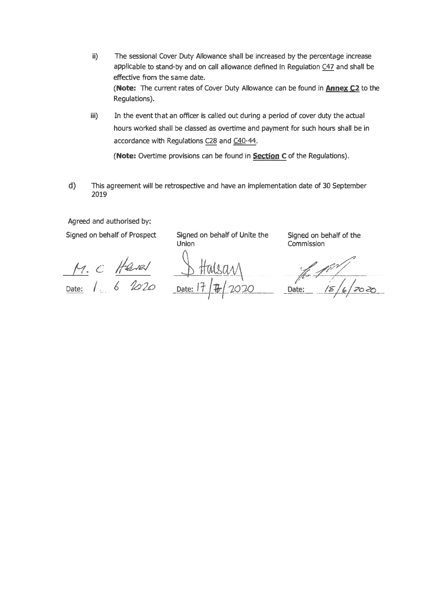- ii) The sessional Cover Duty Allowance shall be increased by the percentage increase applicable to stand-by and on call allowance defined in Regulation [C47](https://hr.gov.im/terms-conditions-for-employees/civil-service/section-c-pay-overtime-and-pensions/overtime/) and shall be effective **from** the same date. **(Note:** The current rates of Cover Duty Allowance can be found in **[Annex C2](https://hr.gov.im/terms-conditions-for-employees/civil-service/annexes/pay-overtime-and-pensions-annexes/)** to the Regulations).
- iii) In the event that an officer is called out during a period of cover duty the actual hours worked shall be classed as overtime and payment for such hours shall be in accordance with Regulations [C28](https://hr.gov.im/terms-conditions-for-employees/civil-service/section-c-pay-overtime-and-pensions/overtime/) and C40-44.

(Note: Overtime provisions can be found in **[Section](https://hr.gov.im/terms-conditions-for-employees/civil-service/section-c-pay-overtime-and-pensions/) C** of the Regulations).

d) This agreement will be retrospective and have an implementation date of 30 September **2019** 

Agreed and authorised by:

Signed on behalf of Prospect

*\_fJ& <sup>C</sup>;/�uJ*  Date:, / .\_. 6 *hw*

Signed on behalf of Unite the **Union** 

Signed on behalf of the Commission

 $\frac{10^{11}}{15/6/2020}$  $Date:$